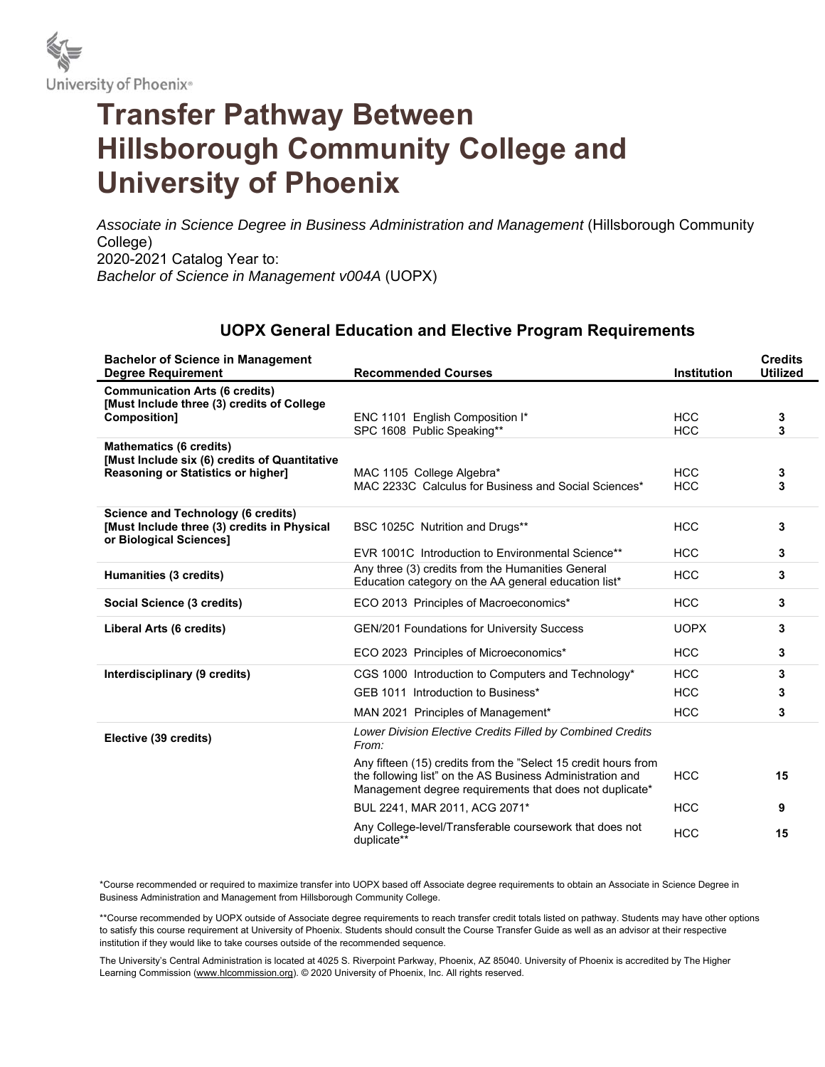

## **Transfer Pathway Between Hillsborough Community College and University of Phoenix**

Associate in Science Degree in Business Administration and Management (Hillsborough Community College) 2020-2021 Catalog Year to: *Bachelor of Science in Management v004A* (UOPX)

## **UOPX General Education and Elective Program Requirements**

| <b>Bachelor of Science in Management</b><br><b>Degree Requirement</b>                                                        | <b>Recommended Courses</b>                                                                                                                                                             | <b>Institution</b>       | <b>Credits</b><br><b>Utilized</b> |
|------------------------------------------------------------------------------------------------------------------------------|----------------------------------------------------------------------------------------------------------------------------------------------------------------------------------------|--------------------------|-----------------------------------|
| <b>Communication Arts (6 credits)</b><br>[Must Include three (3) credits of College<br>Composition]                          | ENC 1101 English Composition I*<br>SPC 1608 Public Speaking**                                                                                                                          | <b>HCC</b><br><b>HCC</b> | 3<br>3                            |
| <b>Mathematics (6 credits)</b><br>[Must Include six (6) credits of Quantitative<br><b>Reasoning or Statistics or higher]</b> | MAC 1105 College Algebra*<br>MAC 2233C Calculus for Business and Social Sciences*                                                                                                      | <b>HCC</b><br><b>HCC</b> | 3<br>3                            |
| <b>Science and Technology (6 credits)</b><br>[Must Include three (3) credits in Physical<br>or Biological Sciences]          | BSC 1025C Nutrition and Drugs**                                                                                                                                                        | <b>HCC</b>               | 3                                 |
|                                                                                                                              | EVR 1001C Introduction to Environmental Science**<br>Any three (3) credits from the Humanities General                                                                                 | <b>HCC</b><br><b>HCC</b> | 3<br>3                            |
| Humanities (3 credits)                                                                                                       | Education category on the AA general education list*                                                                                                                                   |                          |                                   |
| Social Science (3 credits)                                                                                                   | ECO 2013 Principles of Macroeconomics*                                                                                                                                                 | <b>HCC</b>               | 3                                 |
| Liberal Arts (6 credits)                                                                                                     | <b>GEN/201 Foundations for University Success</b>                                                                                                                                      | <b>UOPX</b>              | 3                                 |
|                                                                                                                              | ECO 2023 Principles of Microeconomics*                                                                                                                                                 | <b>HCC</b>               | 3                                 |
| Interdisciplinary (9 credits)                                                                                                | CGS 1000 Introduction to Computers and Technology*                                                                                                                                     | <b>HCC</b>               | 3                                 |
|                                                                                                                              | GEB 1011 Introduction to Business*                                                                                                                                                     | <b>HCC</b>               | 3                                 |
|                                                                                                                              | MAN 2021 Principles of Management*                                                                                                                                                     | <b>HCC</b>               | 3                                 |
| Elective (39 credits)                                                                                                        | Lower Division Elective Credits Filled by Combined Credits<br>From:                                                                                                                    |                          |                                   |
|                                                                                                                              | Any fifteen (15) credits from the "Select 15 credit hours from<br>the following list" on the AS Business Administration and<br>Management degree requirements that does not duplicate* | <b>HCC</b>               | 15                                |
|                                                                                                                              | BUL 2241, MAR 2011, ACG 2071*                                                                                                                                                          | <b>HCC</b>               | 9                                 |
|                                                                                                                              | Any College-level/Transferable coursework that does not<br>duplicate**                                                                                                                 | <b>HCC</b>               | 15                                |

\*Course recommended or required to maximize transfer into UOPX based off Associate degree requirements to obtain an Associate in Science Degree in Business Administration and Management from Hillsborough Community College.

\*\*Course recommended by UOPX outside of Associate degree requirements to reach transfer credit totals listed on pathway. Students may have other options to satisfy this course requirement at University of Phoenix. Students should consult the Course Transfer Guide as well as an advisor at their respective institution if they would like to take courses outside of the recommended sequence.

The University's Central Administration is located at 4025 S. Riverpoint Parkway, Phoenix, AZ 85040. University of Phoenix is accredited by The Higher Learning Commission (www.hlcommission.org). © 2020 University of Phoenix, Inc. All rights reserved.